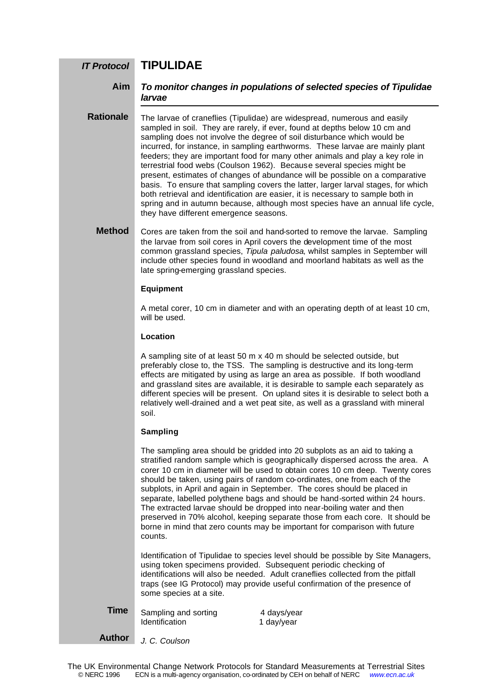#### **TIPULIDAE** *IT Protocol*

#### *To monitor changes in populations of selected species of Tipulidae larvae* **Aim**

The larvae of craneflies (Tipulidae) are widespread, numerous and easily sampled in soil. They are rarely, if ever, found at depths below 10 cm and sampling does not involve the degree of soil disturbance which would be incurred, for instance, in sampling earthworms. These larvae are mainly plant feeders; they are important food for many other animals and play a key role in terrestrial food webs (Coulson 1962). Because several species might be present, estimates of changes of abundance will be possible on a comparative basis. To ensure that sampling covers the latter, larger larval stages, for which both retrieval and identification are easier, it is necessary to sample both in spring and in autumn because, although most species have an annual life cycle, they have different emergence seasons. **Rationale**

Cores are taken from the soil and hand-sorted to remove the larvae. Sampling the larvae from soil cores in April covers the development time of the most common grassland species, *Tipula paludosa*, whilst samples in September will include other species found in woodland and moorland habitats as well as the late spring-emerging grassland species. **Method**

#### **Equipment**

A metal corer, 10 cm in diameter and with an operating depth of at least 10 cm, will be used.

#### **Location**

A sampling site of at least 50 m x 40 m should be selected outside, but preferably close to, the TSS. The sampling is destructive and its long-term effects are mitigated by using as large an area as possible. If both woodland and grassland sites are available, it is desirable to sample each separately as different species will be present. On upland sites it is desirable to select both a relatively well-drained and a wet peat site, as well as a grassland with mineral soil.

### **Sampling**

The sampling area should be gridded into 20 subplots as an aid to taking a stratified random sample which is geographically dispersed across the area. A corer 10 cm in diameter will be used to obtain cores 10 cm deep. Twenty cores should be taken, using pairs of random co-ordinates, one from each of the subplots, in April and again in September. The cores should be placed in separate, labelled polythene bags and should be hand-sorted within 24 hours. The extracted larvae should be dropped into near-boiling water and then preserved in 70% alcohol, keeping separate those from each core. It should be borne in mind that zero counts may be important for comparison with future counts.

Identification of Tipulidae to species level should be possible by Site Managers, using token specimens provided. Subsequent periodic checking of identifications will also be needed. Adult craneflies collected from the pitfall traps (see IG Protocol) may provide useful confirmation of the presence of some species at a site.

**Time**

Identification 1 day/year

Sampling and sorting and 4 days/year

**Author**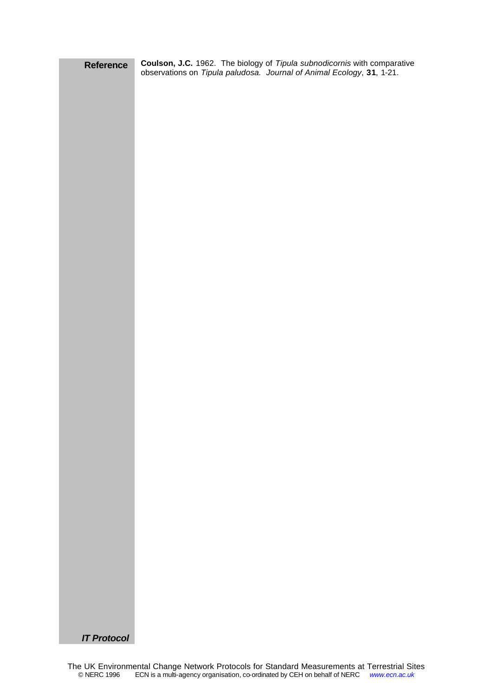| Reference          | <b>Coulson, J.C.</b> 1962. The biology of <i>Tipula subnodicornis</i> with comparative observations on <i>Tipula paludosa. Journal of Animal Ecology</i> , 31, 1-21. |
|--------------------|----------------------------------------------------------------------------------------------------------------------------------------------------------------------|
|                    |                                                                                                                                                                      |
|                    |                                                                                                                                                                      |
|                    |                                                                                                                                                                      |
|                    |                                                                                                                                                                      |
|                    |                                                                                                                                                                      |
|                    |                                                                                                                                                                      |
|                    |                                                                                                                                                                      |
|                    |                                                                                                                                                                      |
|                    |                                                                                                                                                                      |
|                    |                                                                                                                                                                      |
|                    |                                                                                                                                                                      |
|                    |                                                                                                                                                                      |
|                    |                                                                                                                                                                      |
|                    |                                                                                                                                                                      |
|                    |                                                                                                                                                                      |
|                    |                                                                                                                                                                      |
|                    |                                                                                                                                                                      |
|                    |                                                                                                                                                                      |
|                    |                                                                                                                                                                      |
|                    |                                                                                                                                                                      |
|                    |                                                                                                                                                                      |
|                    |                                                                                                                                                                      |
|                    |                                                                                                                                                                      |
|                    |                                                                                                                                                                      |
|                    |                                                                                                                                                                      |
|                    |                                                                                                                                                                      |
|                    |                                                                                                                                                                      |
|                    |                                                                                                                                                                      |
|                    |                                                                                                                                                                      |
|                    |                                                                                                                                                                      |
|                    |                                                                                                                                                                      |
|                    |                                                                                                                                                                      |
|                    |                                                                                                                                                                      |
|                    |                                                                                                                                                                      |
|                    |                                                                                                                                                                      |
|                    |                                                                                                                                                                      |
|                    |                                                                                                                                                                      |
|                    |                                                                                                                                                                      |
|                    |                                                                                                                                                                      |
|                    |                                                                                                                                                                      |
|                    |                                                                                                                                                                      |
|                    |                                                                                                                                                                      |
|                    |                                                                                                                                                                      |
|                    |                                                                                                                                                                      |
|                    |                                                                                                                                                                      |
|                    |                                                                                                                                                                      |
|                    |                                                                                                                                                                      |
| <b>IT Protocol</b> |                                                                                                                                                                      |
|                    |                                                                                                                                                                      |